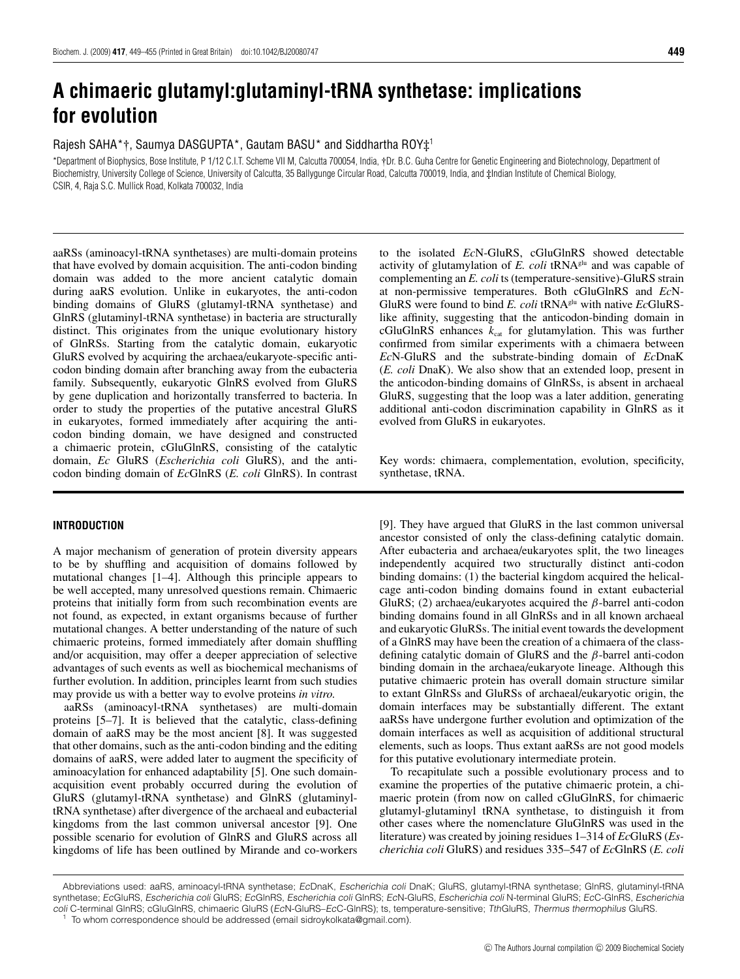# **A chimaeric glutamyl:glutaminyl-tRNA synthetase: implications for evolution**

Rajesh SAHA\*†, Saumya DASGUPTA\*, Gautam BASU\* and Siddhartha ROY‡<sup>1</sup>

\*Department of Biophysics, Bose Institute, P 1/12 C.I.T. Scheme VII M, Calcutta 700054, India, †Dr. B.C. Guha Centre for Genetic Engineering and Biotechnology, Department of Biochemistry, University College of Science, University of Calcutta, 35 Ballygunge Circular Road, Calcutta 700019, India, and ‡Indian Institute of Chemical Biology, CSIR, 4, Raja S.C. Mullick Road, Kolkata 700032, India

aaRSs (aminoacyl-tRNA synthetases) are multi-domain proteins that have evolved by domain acquisition. The anti-codon binding domain was added to the more ancient catalytic domain during aaRS evolution. Unlike in eukaryotes, the anti-codon binding domains of GluRS (glutamyl-tRNA synthetase) and GlnRS (glutaminyl-tRNA synthetase) in bacteria are structurally distinct. This originates from the unique evolutionary history of GlnRSs. Starting from the catalytic domain, eukaryotic GluRS evolved by acquiring the archaea/eukaryote-specific anticodon binding domain after branching away from the eubacteria family. Subsequently, eukaryotic GlnRS evolved from GluRS by gene duplication and horizontally transferred to bacteria. In order to study the properties of the putative ancestral GluRS in eukaryotes, formed immediately after acquiring the anticodon binding domain, we have designed and constructed a chimaeric protein, cGluGlnRS, consisting of the catalytic domain, *Ec* GluRS (*Escherichia coli* GluRS), and the anticodon binding domain of *Ec*GlnRS (*E. coli* GlnRS). In contrast

## **INTRODUCTION**

A major mechanism of generation of protein diversity appears to be by shuffling and acquisition of domains followed by mutational changes [1–4]. Although this principle appears to be well accepted, many unresolved questions remain. Chimaeric proteins that initially form from such recombination events are not found, as expected, in extant organisms because of further mutational changes. A better understanding of the nature of such chimaeric proteins, formed immediately after domain shuffling and/or acquisition, may offer a deeper appreciation of selective advantages of such events as well as biochemical mechanisms of further evolution. In addition, principles learnt from such studies may provide us with a better way to evolve proteins *in vitro.*

aaRSs (aminoacyl-tRNA synthetases) are multi-domain proteins [5–7]. It is believed that the catalytic, class-defining domain of aaRS may be the most ancient [8]. It was suggested that other domains, such as the anti-codon binding and the editing domains of aaRS, were added later to augment the specificity of aminoacylation for enhanced adaptability [5]. One such domainacquisition event probably occurred during the evolution of GluRS (glutamyl-tRNA synthetase) and GlnRS (glutaminyltRNA synthetase) after divergence of the archaeal and eubacterial kingdoms from the last common universal ancestor [9]. One possible scenario for evolution of GlnRS and GluRS across all kingdoms of life has been outlined by Mirande and co-workers to the isolated *Ec*N-GluRS, cGluGlnRS showed detectable activity of glutamylation of *E. coli* tRNAglu and was capable of complementing an *E. coli* ts (temperature-sensitive)-GluRS strain at non-permissive temperatures. Both cGluGlnRS and *Ec*N-GluRS were found to bind *E. coli* tRNAglu with native *Ec*GluRSlike affinity, suggesting that the anticodon-binding domain in cGluGlnRS enhances  $k_{cat}$  for glutamylation. This was further confirmed from similar experiments with a chimaera between *Ec*N-GluRS and the substrate-binding domain of *Ec*DnaK (*E. coli* DnaK). We also show that an extended loop, present in the anticodon-binding domains of GlnRSs, is absent in archaeal GluRS, suggesting that the loop was a later addition, generating additional anti-codon discrimination capability in GlnRS as it evolved from GluRS in eukaryotes.

Key words: chimaera, complementation, evolution, specificity, synthetase, tRNA.

[9]. They have argued that GluRS in the last common universal ancestor consisted of only the class-defining catalytic domain. After eubacteria and archaea/eukaryotes split, the two lineages independently acquired two structurally distinct anti-codon binding domains: (1) the bacterial kingdom acquired the helicalcage anti-codon binding domains found in extant eubacterial GluRS; (2) archaea/eukaryotes acquired the  $\beta$ -barrel anti-codon binding domains found in all GlnRSs and in all known archaeal and eukaryotic GluRSs. The initial event towards the development of a GlnRS may have been the creation of a chimaera of the classdefining catalytic domain of GluRS and the β-barrel anti-codon binding domain in the archaea/eukaryote lineage. Although this putative chimaeric protein has overall domain structure similar to extant GlnRSs and GluRSs of archaeal/eukaryotic origin, the domain interfaces may be substantially different. The extant aaRSs have undergone further evolution and optimization of the domain interfaces as well as acquisition of additional structural elements, such as loops. Thus extant aaRSs are not good models for this putative evolutionary intermediate protein.

To recapitulate such a possible evolutionary process and to examine the properties of the putative chimaeric protein, a chimaeric protein (from now on called cGluGlnRS, for chimaeric glutamyl-glutaminyl tRNA synthetase, to distinguish it from other cases where the nomenclature GluGlnRS was used in the literature) was created by joining residues 1–314 of *Ec*GluRS (*Escherichia coli* GluRS) and residues 335–547 of *Ec*GlnRS (*E. coli*

Abbreviations used: aaRS, aminoacyl-tRNA synthetase; EcDnaK, Escherichia coli DnaK; GluRS, glutamyl-tRNA synthetase; GlnRS, glutaminyl-tRNA synthetase; EcGluRS, Escherichia coli GluRS; EcGlnRS, Escherichia coli GlnRS; EcN-GluRS, Escherichia coli N-terminal GluRS; EcC-GlnRS, Escherichia coli C-terminal GlnRS; cGluGlnRS, chimaeric GluRS (EcN-GluRS–EcC-GlnRS); ts, temperature-sensitive; TthGluRS, Thermus thermophilus GluRS.

To whom correspondence should be addressed (email sidroykolkata@gmail.com).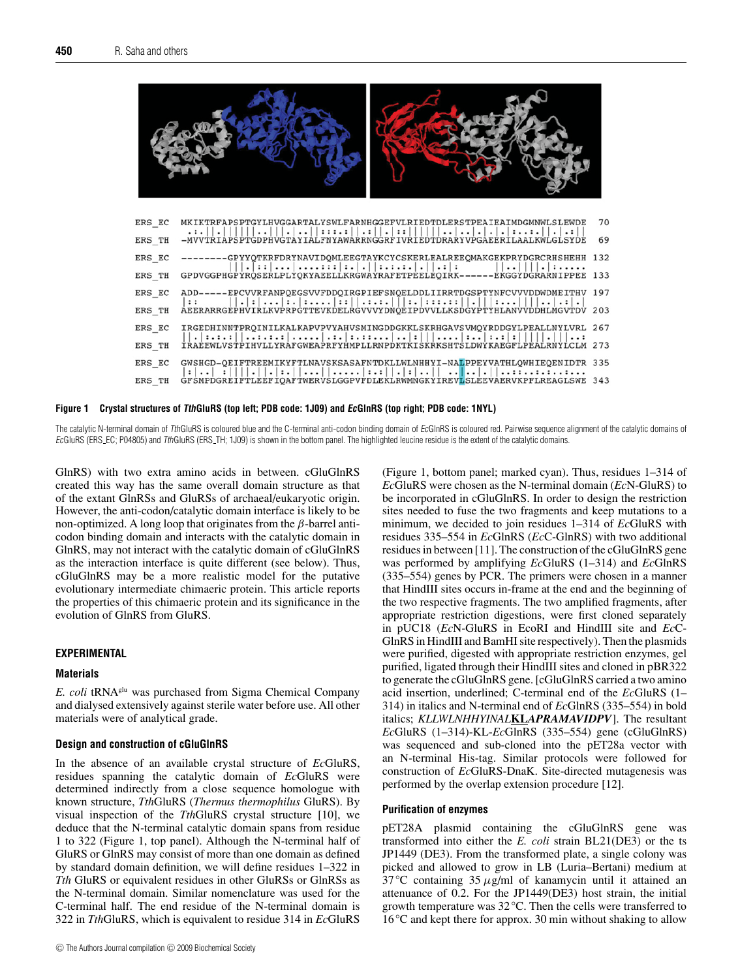

**Figure 1 Crystal structures of TthGluRS (top left; PDB code: 1J09) and EcGlnRS (top right; PDB code: 1NYL)**

The catalytic N-terminal domain of TthGluRS is coloured blue and the C-terminal anti-codon binding domain of EcGlnRS is coloured red. Pairwise sequence alignment of the catalytic domains of EcGluRS (ERS EC; P04805) and TthGluRS (ERS TH; 1J09) is shown in the bottom panel. The highlighted leucine residue is the extent of the catalytic domains.

GlnRS) with two extra amino acids in between. cGluGlnRS created this way has the same overall domain structure as that of the extant GlnRSs and GluRSs of archaeal/eukaryotic origin. However, the anti-codon/catalytic domain interface is likely to be non-optimized. A long loop that originates from the  $\beta$ -barrel anticodon binding domain and interacts with the catalytic domain in GlnRS, may not interact with the catalytic domain of cGluGlnRS as the interaction interface is quite different (see below). Thus, cGluGlnRS may be a more realistic model for the putative evolutionary intermediate chimaeric protein. This article reports the properties of this chimaeric protein and its significance in the evolution of GlnRS from GluRS.

# **EXPERIMENTAL**

## **Materials**

*E. coli* tRNAglu was purchased from Sigma Chemical Company and dialysed extensively against sterile water before use. All other materials were of analytical grade.

## **Design and construction of cGluGlnRS**

In the absence of an available crystal structure of *Ec*GluRS, residues spanning the catalytic domain of *Ec*GluRS were determined indirectly from a close sequence homologue with known structure, *Tth*GluRS (*Thermus thermophilus* GluRS). By visual inspection of the *Tth*GluRS crystal structure [10], we deduce that the N-terminal catalytic domain spans from residue 1 to 322 (Figure 1, top panel). Although the N-terminal half of GluRS or GlnRS may consist of more than one domain as defined by standard domain definition, we will define residues 1–322 in *Tth* GluRS or equivalent residues in other GluRSs or GlnRSs as the N-terminal domain. Similar nomenclature was used for the C-terminal half. The end residue of the N-terminal domain is 322 in *Tth*GluRS, which is equivalent to residue 314 in *Ec*GluRS (Figure 1, bottom panel; marked cyan). Thus, residues 1–314 of *Ec*GluRS were chosen as the N-terminal domain (*Ec*N-GluRS) to be incorporated in cGluGlnRS. In order to design the restriction sites needed to fuse the two fragments and keep mutations to a minimum, we decided to join residues 1–314 of *Ec*GluRS with residues 335–554 in *Ec*GlnRS (*Ec*C-GlnRS) with two additional residues in between [11]. The construction of the cGluGlnRS gene was performed by amplifying *Ec*GluRS (1–314) and *Ec*GlnRS (335–554) genes by PCR. The primers were chosen in a manner that HindIII sites occurs in-frame at the end and the beginning of the two respective fragments. The two amplified fragments, after appropriate restriction digestions, were first cloned separately in pUC18 (*Ec*N-GluRS in EcoRI and HindIII site and *Ec*C-GlnRS in HindIII and BamHI site respectively). Then the plasmids were purified, digested with appropriate restriction enzymes, gel purified, ligated through their HindIII sites and cloned in pBR322 to generate the cGluGlnRS gene. [cGluGlnRS carried a two amino acid insertion, underlined; C-terminal end of the *Ec*GluRS (1– 314) in italics and N-terminal end of *Ec*GlnRS (335–554) in bold italics; *KLLWLNHHYINAL***KL***APRAMAVIDPV*]. The resultant *Ec*GluRS (1–314)-KL-*Ec*GlnRS (335–554) gene (cGluGlnRS) was sequenced and sub-cloned into the pET28a vector with an N-terminal His-tag. Similar protocols were followed for construction of *Ec*GluRS-DnaK. Site-directed mutagenesis was performed by the overlap extension procedure [12].

#### **Purification of enzymes**

pET28A plasmid containing the cGluGlnRS gene was transformed into either the *E. coli* strain BL21(DE3) or the ts JP1449 (DE3). From the transformed plate, a single colony was picked and allowed to grow in LB (Luria–Bertani) medium at 37 *◦*C containing 35 μg/ml of kanamycin until it attained an attenuance of 0.2. For the JP1449(DE3) host strain, the initial growth temperature was 32 *◦*C. Then the cells were transferred to 16 *◦*C and kept there for approx. 30 min without shaking to allow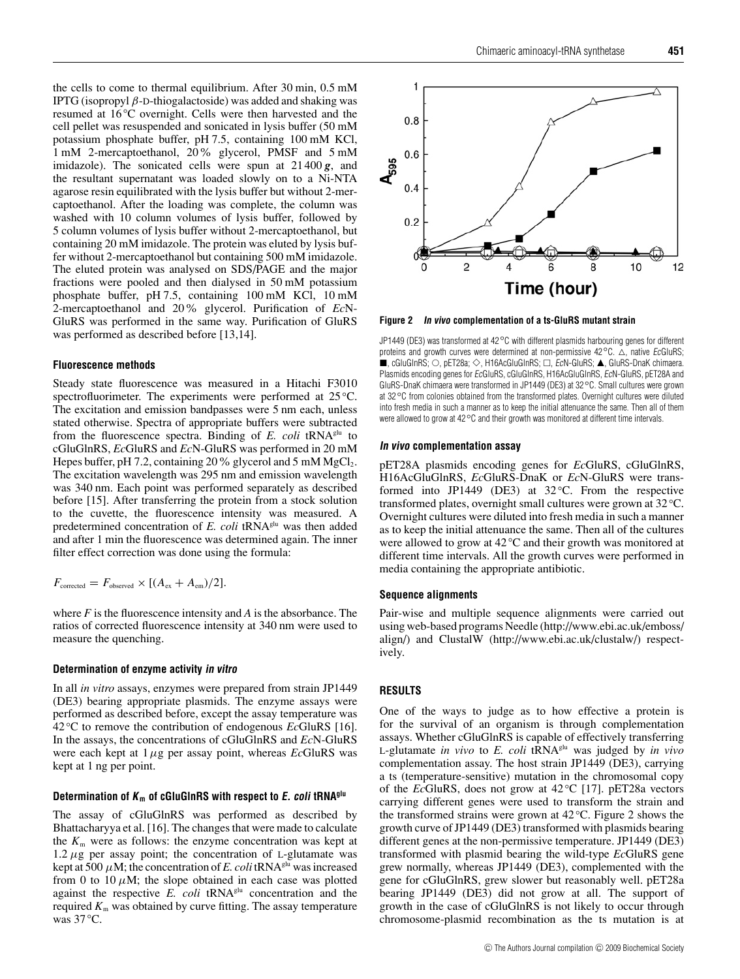the cells to come to thermal equilibrium. After 30 min, 0.5 mM IPTG (isopropyl β-D-thiogalactoside) was added and shaking was resumed at 16 *◦* C overnight. Cells were then harvested and the cell pellet was resuspended and sonicated in lysis buffer (50 mM potassium phosphate buffer, pH 7.5, containing 100 mM KCl, 1 mM 2-mercaptoethanol, 20% glycerol, PMSF and 5 mM imidazole). The sonicated cells were spun at 21 400 *g*, and the resultant supernatant was loaded slowly on to a Ni-NTA agarose resin equilibrated with the lysis buffer but without 2-mercaptoethanol. After the loading was complete, the column was washed with 10 column volumes of lysis buffer, followed by 5 column volumes of lysis buffer without 2-mercaptoethanol, but containing 20 mM imidazole. The protein was eluted by lysis buffer without 2-mercaptoethanol but containing 500 mM imidazole. The eluted protein was analysed on SDS/PAGE and the major fractions were pooled and then dialysed in 50 mM potassium phosphate buffer, pH 7.5, containing 100 mM KCl, 10 mM 2-mercaptoethanol and 20% glycerol. Purification of *Ec*N-GluRS was performed in the same way. Purification of GluRS was performed as described before [13,14].

#### **Fluorescence methods**

Steady state fluorescence was measured in a Hitachi F3010 spectrofluorimeter. The experiments were performed at 25 *◦* C. The excitation and emission bandpasses were 5 nm each, unless stated otherwise. Spectra of appropriate buffers were subtracted from the fluorescence spectra. Binding of *E. coli* tRNAglu to cGluGlnRS, *Ec*GluRS and *Ec*N-GluRS was performed in 20 mM Hepes buffer, pH 7.2, containing 20 % glycerol and 5 mM  $MgCl<sub>2</sub>$ . The excitation wavelength was 295 nm and emission wavelength was 340 nm. Each point was performed separately as described before [15]. After transferring the protein from a stock solution to the cuvette, the fluorescence intensity was measured. A predetermined concentration of *E. coli* tRNA<sup>glu</sup> was then added and after 1 min the fluorescence was determined again. The inner filter effect correction was done using the formula:

$$
F_{\text{corrected}} = F_{\text{observed}} \times [(A_{\text{ex}} + A_{\text{em}})/2].
$$

where *F* is the fluorescence intensity and *A* is the absorbance. The ratios of corrected fluorescence intensity at 340 nm were used to measure the quenching.

## **Determination of enzyme activity in vitro**

In all *in vitro* assays, enzymes were prepared from strain JP1449 (DE3) bearing appropriate plasmids. The enzyme assays were performed as described before, except the assay temperature was 42 *◦* C to remove the contribution of endogenous *Ec*GluRS [16]. In the assays, the concentrations of cGluGlnRS and *Ec*N-GluRS were each kept at  $1 \mu$ g per assay point, whereas *Ec*GluRS was kept at 1 ng per point.

## **Determination of <sup>K</sup> <sup>m</sup> of cGluGlnRS with respect to E. coli tRNAglu**

The assay of cGluGlnRS was performed as described by Bhattacharyya et al. [16]. The changes that were made to calculate the  $K<sub>m</sub>$  were as follows: the enzyme concentration was kept at  $1.2 \mu$ g per assay point; the concentration of L-glutamate was kept at 500  $\mu$ M; the concentration of *E. coli* tRNA<sup>glu</sup> was increased from 0 to 10  $\mu$ M; the slope obtained in each case was plotted against the respective *E. coli* tRNA<sup>glu</sup> concentration and the required  $K<sub>m</sub>$  was obtained by curve fitting. The assay temperature was 37 *◦*C.



**Figure 2 In vivo complementation of a ts-GluRS mutant strain**

JP1449 (DE3) was transformed at 42*◦*C with different plasmids harbouring genes for different proteins and growth curves were determined at non-permissive 42<sup>°</sup>C. △, native *EcGluRS*;  $\blacksquare$ , cGluGlnRS;  $\odot$ , pET28a;  $\diamondsuit$ , H16AcGluGlnRS;  $\Box$ ,  ${\it E}$ cN-GluRS;  $\blacktriangle$ , GluRS-DnaK chimaera. Plasmids encoding genes for EcGluRS, cGluGlnRS, H16AcGluGlnRS, EcN-GluRS, pET28A and GluRS-DnaK chimaera were transformed in JP1449 (DE3) at 32*◦*C. Small cultures were grown at 32*◦*C from colonies obtained from the transformed plates. Overnight cultures were diluted into fresh media in such a manner as to keep the initial attenuance the same. Then all of them were allowed to grow at 42*◦*C and their growth was monitored at different time intervals.

#### **In vivo complementation assay**

pET28A plasmids encoding genes for *Ec*GluRS, cGluGlnRS, H16AcGluGlnRS, *Ec*GluRS-DnaK or *Ec*N-GluRS were transformed into JP1449 (DE3) at 32 *◦* C. From the respective transformed plates, overnight small cultures were grown at 32 *◦*C. Overnight cultures were diluted into fresh media in such a manner as to keep the initial attenuance the same. Then all of the cultures were allowed to grow at 42 *◦*C and their growth was monitored at different time intervals. All the growth curves were performed in media containing the appropriate antibiotic.

#### **Sequence alignments**

Pair-wise and multiple sequence alignments were carried out using web-based programs Needle (http://www.ebi.ac.uk/emboss/ align/) and ClustalW (http://www.ebi.ac.uk/clustalw/) respectively.

## **RESULTS**

One of the ways to judge as to how effective a protein is for the survival of an organism is through complementation assays. Whether cGluGlnRS is capable of effectively transferring L-glutamate *in vivo* to *E. coli* tRNAglu was judged by *in vivo* complementation assay. The host strain JP1449 (DE3), carrying a ts (temperature-sensitive) mutation in the chromosomal copy of the *Ec*GluRS, does not grow at 42 *◦* C [17]. pET28a vectors carrying different genes were used to transform the strain and the transformed strains were grown at 42 *◦* C. Figure 2 shows the growth curve of JP1449 (DE3) transformed with plasmids bearing different genes at the non-permissive temperature. JP1449 (DE3) transformed with plasmid bearing the wild-type *Ec*GluRS gene grew normally, whereas JP1449 (DE3), complemented with the gene for cGluGlnRS, grew slower but reasonably well. pET28a bearing JP1449 (DE3) did not grow at all. The support of growth in the case of cGluGlnRS is not likely to occur through chromosome-plasmid recombination as the ts mutation is at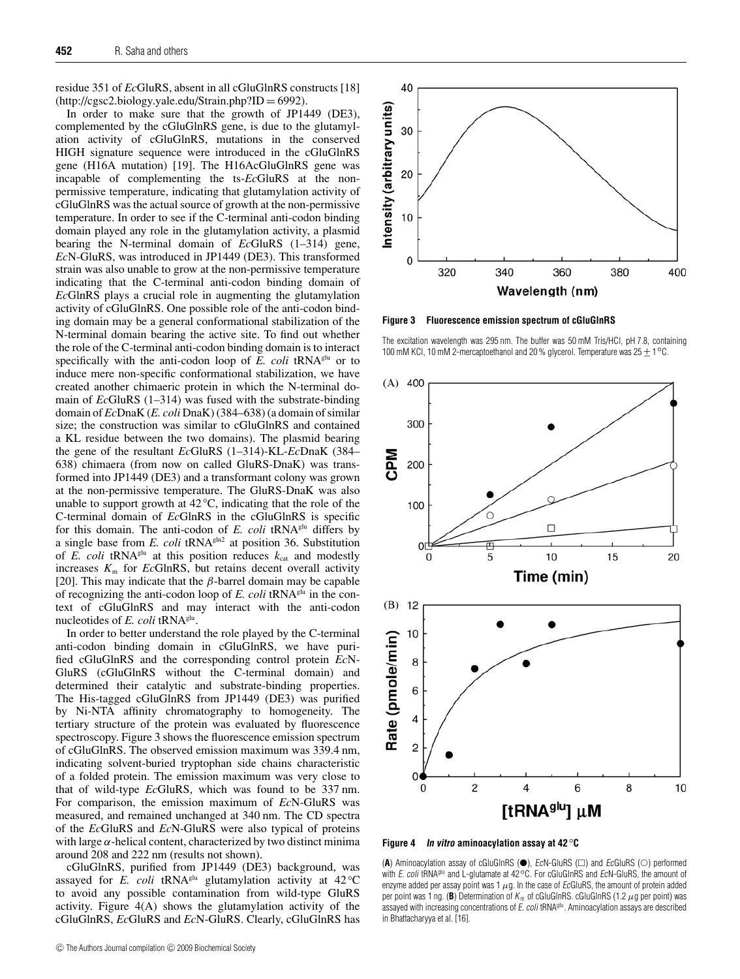residue 351 of *Ec*GluRS, absent in all cGluGlnRS constructs [18]  $(\text{http://cgsc2.biology.yale.edu/Strain.php?ID} = 6992).$ 

In order to make sure that the growth of JP1449 (DE3), complemented by the cGluGlnRS gene, is due to the glutamylation activity of cGluGlnRS, mutations in the conserved HIGH signature sequence were introduced in the cGluGlnRS gene (H16A mutation) [19]. The H16AcGluGlnRS gene was incapable of complementing the ts-*Ec*GluRS at the nonpermissive temperature, indicating that glutamylation activity of cGluGlnRS was the actual source of growth at the non-permissive temperature. In order to see if the C-terminal anti-codon binding domain played any role in the glutamylation activity, a plasmid bearing the N-terminal domain of *Ec*GluRS (1–314) gene, *Ec*N-GluRS, was introduced in JP1449 (DE3). This transformed strain was also unable to grow at the non-permissive temperature indicating that the C-terminal anti-codon binding domain of *Ec*GlnRS plays a crucial role in augmenting the glutamylation activity of cGluGlnRS. One possible role of the anti-codon binding domain may be a general conformational stabilization of the N-terminal domain bearing the active site. To find out whether the role of the C-terminal anti-codon binding domain is to interact specifically with the anti-codon loop of *E. coli* tRNA<sup>glu</sup> or to induce mere non-specific conformational stabilization, we have created another chimaeric protein in which the N-terminal domain of *Ec*GluRS (1–314) was fused with the substrate-binding domain of *Ec*DnaK (*E. coli* DnaK) (384–638) (a domain of similar size; the construction was similar to cGluGlnRS and contained a KL residue between the two domains). The plasmid bearing the gene of the resultant *Ec*GluRS (1–314)-KL-*Ec*DnaK (384– 638) chimaera (from now on called GluRS-DnaK) was transformed into JP1449 (DE3) and a transformant colony was grown at the non-permissive temperature. The GluRS-DnaK was also unable to support growth at 42 *◦*C, indicating that the role of the C-terminal domain of *Ec*GlnRS in the cGluGlnRS is specific for this domain. The anti-codon of *E. coli* tRNA<sup>glu</sup> differs by a single base from *E. coli* tRNA<sup>gln2</sup> at position 36. Substitution of *E. coli* tRNA<sup>glu</sup> at this position reduces  $k_{cat}$  and modestly increases  $K<sub>m</sub>$  for *Ec*GlnRS, but retains decent overall activity [20]. This may indicate that the  $\beta$ -barrel domain may be capable of recognizing the anti-codon loop of *E. coli* tRNAglu in the context of cGluGlnRS and may interact with the anti-codon nucleotides of  $E$ . *coli* tRNA<sup>glu</sup>.

In order to better understand the role played by the C-terminal anti-codon binding domain in cGluGlnRS, we have purified cGluGlnRS and the corresponding control protein *Ec*N-GluRS (cGluGlnRS without the C-terminal domain) and determined their catalytic and substrate-binding properties. The His-tagged cGluGlnRS from JP1449 (DE3) was purified by Ni-NTA affinity chromatography to homogeneity. The tertiary structure of the protein was evaluated by fluorescence spectroscopy. Figure 3 shows the fluorescence emission spectrum of cGluGlnRS. The observed emission maximum was 339.4 nm, indicating solvent-buried tryptophan side chains characteristic of a folded protein. The emission maximum was very close to that of wild-type *Ec*GluRS, which was found to be 337 nm. For comparison, the emission maximum of *Ec*N-GluRS was measured, and remained unchanged at 340 nm. The CD spectra of the *Ec*GluRS and *Ec*N-GluRS were also typical of proteins with large  $\alpha$ -helical content, characterized by two distinct minima around 208 and 222 nm (results not shown).

cGluGlnRS, purified from JP1449 (DE3) background, was assayed for *E. coli* tRNA<sup>glu</sup> glutamylation activity at 42 ℃ to avoid any possible contamination from wild-type GluRS activity. Figure 4(A) shows the glutamylation activity of the cGluGlnRS, *Ec*GluRS and *Ec*N-GluRS. Clearly, cGluGlnRS has



**Figure 3 Fluorescence emission spectrum of cGluGlnRS**

The excitation wavelength was 295 nm. The buffer was 50 mM Tris/HCl, pH 7.8, containing 100 mM KCl, 10 mM 2-mercaptoethanol and 20 % glycerol. Temperature was 25 ± 1 <sup>°</sup>C.



**Figure 4 In vitro aminoacylation assay at 42** *◦***C**

 $(A)$  Aminoacylation assay of cGluGlnRS  $(\bullet)$ , EcN-GluRS  $(\square)$  and EcGluRS  $(\bigcirc)$  performed with E. coli tRNA<sup>glu</sup> and L-glutamate at 42<sup>°</sup>C. For cGluGlnRS and EcN-GluRS, the amount of enzyme added per assay point was 1  $\mu$ g. In the case of EcGluRS, the amount of protein added per point was 1 ng. (B) Determination of  $K_m$  of cGluGlnRS. cGluGlnRS (1.2  $\mu$ g per point) was assayed with increasing concentrations of E. coli tRNA<sup>glu</sup>. Aminoacylation assays are described in Bhattacharyya et al. [16].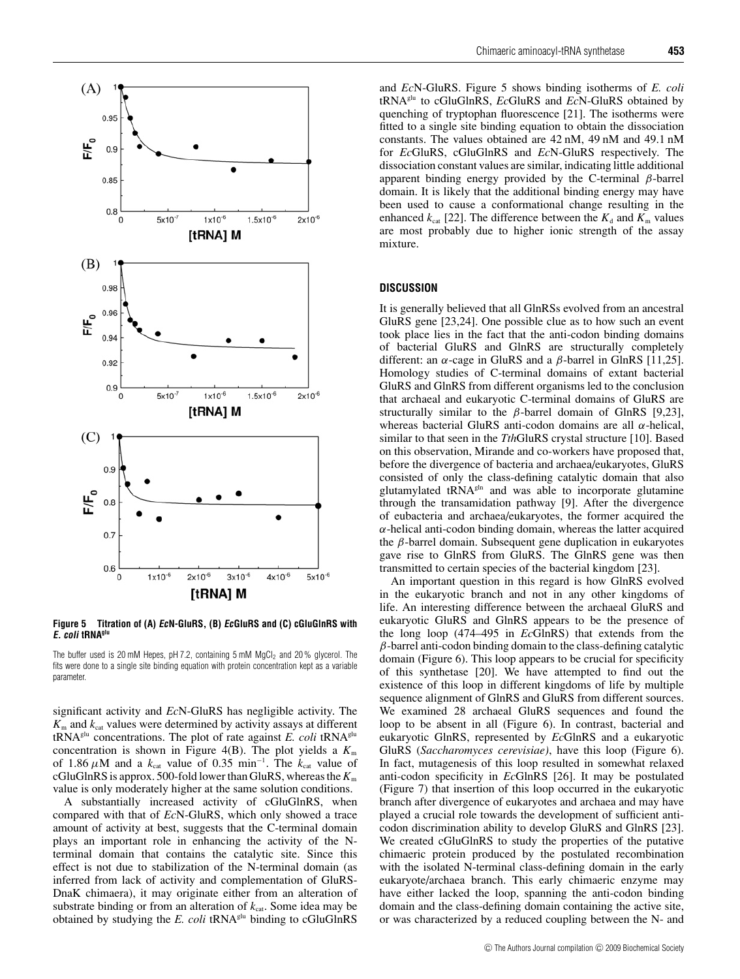

**Figure 5 Titration of (A) EcN-GluRS, (B) EcGluRS and (C) cGluGlnRS with E. coli tRNAglu**

The buffer used is 20 mM Hepes, pH 7.2, containing 5 mM  $MgCl<sub>2</sub>$  and 20% glycerol. The fits were done to a single site binding equation with protein concentration kept as a variable parameter

significant activity and *Ec*N-GluRS has negligible activity. The  $K<sub>m</sub>$  and  $k<sub>cat</sub>$  values were determined by activity assays at different tRNAglu concentrations. The plot of rate against *E. coli* tRNAglu concentration is shown in Figure 4(B). The plot yields a  $K<sub>m</sub>$ of 1.86  $\mu$ M and a  $k_{\text{cat}}$  value of 0.35 min<sup>-1</sup>. The  $k_{\text{cat}}$  value of cGluGlnRS is approx. 500-fold lower than GluRS, whereas the  $K<sub>m</sub>$ value is only moderately higher at the same solution conditions.

A substantially increased activity of cGluGlnRS, when compared with that of *Ec*N-GluRS, which only showed a trace amount of activity at best, suggests that the C-terminal domain plays an important role in enhancing the activity of the Nterminal domain that contains the catalytic site. Since this effect is not due to stabilization of the N-terminal domain (as inferred from lack of activity and complementation of GluRS-DnaK chimaera), it may originate either from an alteration of substrate binding or from an alteration of  $k_{\text{cat}}$ . Some idea may be obtained by studying the *E. coli* tRNA<sup>glu</sup> binding to cGluGlnRS and *Ec*N-GluRS. Figure 5 shows binding isotherms of *E. coli* tRNAglu to cGluGlnRS, *Ec*GluRS and *Ec*N-GluRS obtained by quenching of tryptophan fluorescence [21]. The isotherms were fitted to a single site binding equation to obtain the dissociation constants. The values obtained are 42 nM, 49 nM and 49.1 nM for *Ec*GluRS, cGluGlnRS and *Ec*N-GluRS respectively. The dissociation constant values are similar, indicating little additional apparent binding energy provided by the C-terminal  $\beta$ -barrel domain. It is likely that the additional binding energy may have been used to cause a conformational change resulting in the enhanced  $k_{\text{cat}}$  [22]. The difference between the  $K_{\text{d}}$  and  $K_{\text{m}}$  values are most probably due to higher ionic strength of the assay mixture.

# **DISCUSSION**

It is generally believed that all GlnRSs evolved from an ancestral GluRS gene [23,24]. One possible clue as to how such an event took place lies in the fact that the anti-codon binding domains of bacterial GluRS and GlnRS are structurally completely different: an  $\alpha$ -cage in GluRS and a  $\beta$ -barrel in GlnRS [11,25]. Homology studies of C-terminal domains of extant bacterial GluRS and GlnRS from different organisms led to the conclusion that archaeal and eukaryotic C-terminal domains of GluRS are structurally similar to the  $\beta$ -barrel domain of GlnRS [9,23], whereas bacterial GluRS anti-codon domains are all  $\alpha$ -helical, similar to that seen in the *Tth*GluRS crystal structure [10]. Based on this observation, Mirande and co-workers have proposed that, before the divergence of bacteria and archaea/eukaryotes, GluRS consisted of only the class-defining catalytic domain that also glutamylated tRNA<sup>gln</sup> and was able to incorporate glutamine through the transamidation pathway [9]. After the divergence of eubacteria and archaea/eukaryotes, the former acquired the  $\alpha$ -helical anti-codon binding domain, whereas the latter acquired the  $β$ -barrel domain. Subsequent gene duplication in eukaryotes gave rise to GlnRS from GluRS. The GlnRS gene was then transmitted to certain species of the bacterial kingdom [23].

An important question in this regard is how GlnRS evolved in the eukaryotic branch and not in any other kingdoms of life. An interesting difference between the archaeal GluRS and eukaryotic GluRS and GlnRS appears to be the presence of the long loop (474–495 in *Ec*GlnRS) that extends from the  $\beta$ -barrel anti-codon binding domain to the class-defining catalytic domain (Figure 6). This loop appears to be crucial for specificity of this synthetase [20]. We have attempted to find out the existence of this loop in different kingdoms of life by multiple sequence alignment of GlnRS and GluRS from different sources. We examined 28 archaeal GluRS sequences and found the loop to be absent in all (Figure 6). In contrast, bacterial and eukaryotic GlnRS, represented by *Ec*GlnRS and a eukaryotic GluRS (*Saccharomyces cerevisiae)*, have this loop (Figure 6). In fact, mutagenesis of this loop resulted in somewhat relaxed anti-codon specificity in *Ec*GlnRS [26]. It may be postulated (Figure 7) that insertion of this loop occurred in the eukaryotic branch after divergence of eukaryotes and archaea and may have played a crucial role towards the development of sufficient anticodon discrimination ability to develop GluRS and GlnRS [23]. We created cGluGlnRS to study the properties of the putative chimaeric protein produced by the postulated recombination with the isolated N-terminal class-defining domain in the early eukaryote/archaea branch. This early chimaeric enzyme may have either lacked the loop, spanning the anti-codon binding domain and the class-defining domain containing the active site, or was characterized by a reduced coupling between the N- and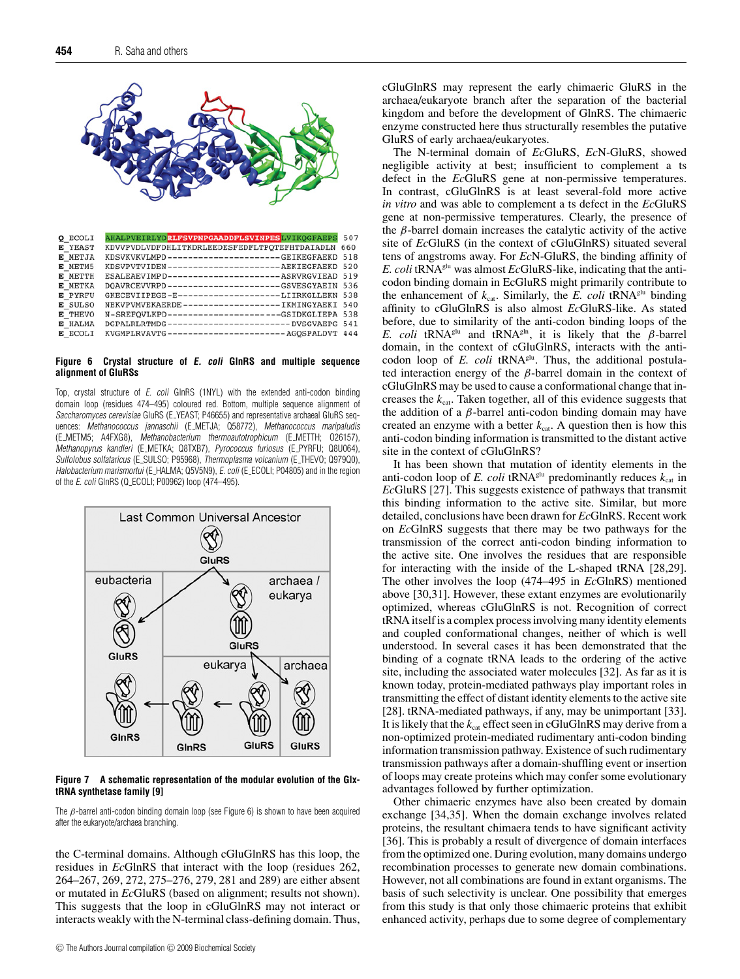

| Q ECOLI        | AHALPVEIRLYDRLFSVPNPGAADDFLSVINPESLVIKOGFAEPS 507  |     |
|----------------|----------------------------------------------------|-----|
| E YEAST        | KDVVPVDLVDFDHLITKDRLEEDESFEDFLTPOTEFHTDAIADLN      | 660 |
| E METJA        | KDSVKVKVLMPD---------------------GEIKEGFAEKD 518   |     |
| E METM5        | KDSVPVTVIDEN-----------------------AEKIEGFAEKD 520 |     |
| E METTH        | ESALEAEVIMPD-----------------------ASRVRGVIEAD 519 |     |
| E METKA        | DOAVRCEVVRPD---------------------GSVESGYAEIN 536   |     |
| <b>E</b> PYRFU | GKECEVIIPEGE-E-------------------LIIRKGLLEKN 538   |     |
| E SULSO        | NEKVPVMVEKAERDE-------------------IKMINGYAEKI 540  |     |
| E THEVO        | N-SREFOVLKPD---------------------GSIDKGLIEPA 538   |     |
| E HALMA        | DGPALRLRTMDG-----------------------DVSGVAEPG 541   |     |
| E ECOLI        | KVGMPLRVAVTG-----------------------AGOSPALDVT 444  |     |

#### **Figure 6 Crystal structure of E. coli GlnRS and multiple sequence alignment of GluRSs**

Top, crystal structure of E. coli GlnRS (1NYL) with the extended anti-codon binding domain loop (residues 474–495) coloured red. Bottom, multiple sequence alignment of Saccharomyces cerevisiae GluRS (E\_YEAST; P46655) and representative archaeal GluRS sequences: Methanococcus jannaschii (E\_METJA; Q58772), Methanococcus maripaludis (E METM5; A4FXG8), Methanobacterium thermoautotrophicum (E METTH; O26157), Methanopyrus kandleri (E METKA; Q8TXB7), Pyrococcus furiosus (E PYRFU; Q8U064), Sulfolobus solfataricus (E SULSO; P95968), Thermoplasma volcanium (E THEVO; Q979Q0), Halobacterium marismortui (E\_HALMA; Q5V5N9), E. coli (E\_ECOLI; P04805) and in the region of the E. coli GlnRS (Q ECOLI; P00962) loop (474–495).



**Figure 7 A schematic representation of the modular evolution of the GlxtRNA synthetase family [9]**

The  $\beta$ -barrel anti-codon binding domain loop (see Figure 6) is shown to have been acquired after the eukaryote/archaea branching.

the C-terminal domains. Although cGluGlnRS has this loop, the residues in *Ec*GlnRS that interact with the loop (residues 262, 264–267, 269, 272, 275–276, 279, 281 and 289) are either absent or mutated in *Ec*GluRS (based on alignment; results not shown). This suggests that the loop in cGluGlnRS may not interact or interacts weakly with the N-terminal class-defining domain. Thus, cGluGlnRS may represent the early chimaeric GluRS in the archaea/eukaryote branch after the separation of the bacterial kingdom and before the development of GlnRS. The chimaeric enzyme constructed here thus structurally resembles the putative GluRS of early archaea/eukaryotes.

The N-terminal domain of *Ec*GluRS, *Ec*N-GluRS, showed negligible activity at best; insufficient to complement a ts defect in the *Ec*GluRS gene at non-permissive temperatures. In contrast, cGluGlnRS is at least several-fold more active *in vitro* and was able to complement a ts defect in the *Ec*GluRS gene at non-permissive temperatures. Clearly, the presence of the β-barrel domain increases the catalytic activity of the active site of *Ec*GluRS (in the context of cGluGlnRS) situated several tens of angstroms away. For *Ec*N-GluRS, the binding affinity of *E. coli* tRNAglu was almost *Ec*GluRS-like, indicating that the anticodon binding domain in EcGluRS might primarily contribute to the enhancement of  $k_{cat}$ . Similarly, the *E. coli* tRNA<sup>glu</sup> binding affinity to cGluGlnRS is also almost *Ec*GluRS-like. As stated before, due to similarity of the anti-codon binding loops of the *E. coli* tRNA<sup>glu</sup> and tRNA<sup>gln</sup>, it is likely that the  $\beta$ -barrel domain, in the context of cGluGlnRS, interacts with the anticodon loop of *E. coli* tRNA<sup>glu</sup>. Thus, the additional postulated interaction energy of the  $\beta$ -barrel domain in the context of cGluGlnRS may be used to cause a conformational change that increases the  $k_{\text{cat}}$ . Taken together, all of this evidence suggests that the addition of a  $β$ -barrel anti-codon binding domain may have created an enzyme with a better  $k_{\text{cat}}$ . A question then is how this anti-codon binding information is transmitted to the distant active site in the context of cGluGlnRS?

It has been shown that mutation of identity elements in the anti-codon loop of *E. coli* tRNA<sup>glu</sup> predominantly reduces  $k_{cat}$  in *Ec*GluRS [27]. This suggests existence of pathways that transmit this binding information to the active site. Similar, but more detailed, conclusions have been drawn for *Ec*GlnRS. Recent work on *Ec*GlnRS suggests that there may be two pathways for the transmission of the correct anti-codon binding information to the active site. One involves the residues that are responsible for interacting with the inside of the L-shaped tRNA [28,29]. The other involves the loop (474–495 in *Ec*GlnRS) mentioned above [30,31]. However, these extant enzymes are evolutionarily optimized, whereas cGluGlnRS is not. Recognition of correct tRNA itself is a complex process involving many identity elements and coupled conformational changes, neither of which is well understood. In several cases it has been demonstrated that the binding of a cognate tRNA leads to the ordering of the active site, including the associated water molecules [32]. As far as it is known today, protein-mediated pathways play important roles in transmitting the effect of distant identity elements to the active site [28]. tRNA-mediated pathways, if any, may be unimportant [33]. It is likely that the  $k_{\text{cat}}$  effect seen in cGluGlnRS may derive from a non-optimized protein-mediated rudimentary anti-codon binding information transmission pathway. Existence of such rudimentary transmission pathways after a domain-shuffling event or insertion of loops may create proteins which may confer some evolutionary advantages followed by further optimization.

Other chimaeric enzymes have also been created by domain exchange [34,35]. When the domain exchange involves related proteins, the resultant chimaera tends to have significant activity [36]. This is probably a result of divergence of domain interfaces from the optimized one. During evolution, many domains undergo recombination processes to generate new domain combinations. However, not all combinations are found in extant organisms. The basis of such selectivity is unclear. One possibility that emerges from this study is that only those chimaeric proteins that exhibit enhanced activity, perhaps due to some degree of complementary